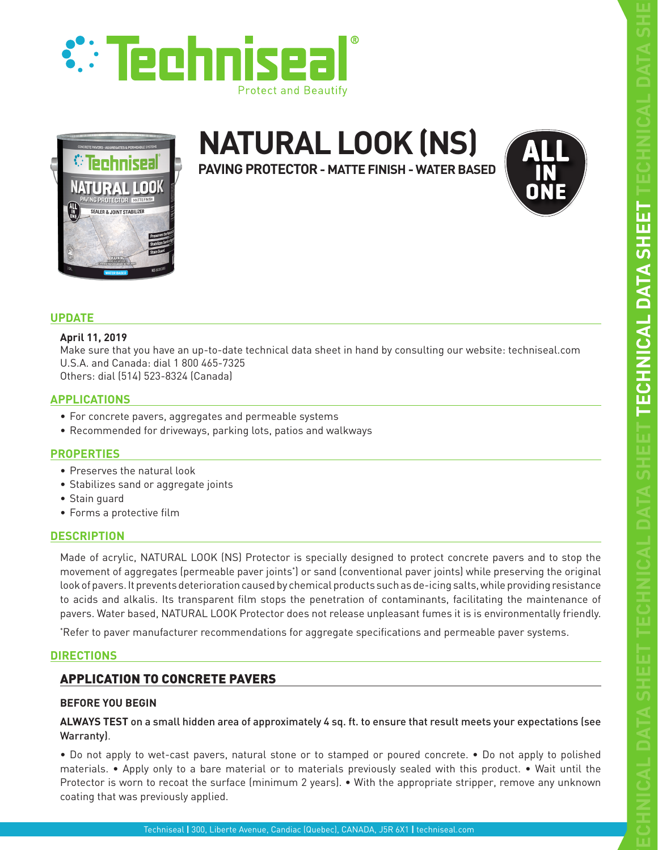



# **NATURAL LOOK (NS)**

**PAVING PROTECTOR - MATTE FINISH - WATER BASED**



# **UPDATE**

#### **April 11, 2019**

Make sure that you have an up-to-date technical data sheet in hand by consulting our website: techniseal.com U.S.A. and Canada: dial 1 800 465-7325 Others: dial (514) 523-8324 (Canada)

## **APPLICATIONS**

- For concrete pavers, aggregates and permeable systems
- Recommended for driveways, parking lots, patios and walkways

# **PROPERTIES**

- Preserves the natural look
- Stabilizes sand or aggregate joints
- Stain guard
- Forms a protective film

## **DESCRIPTION**

Made of acrylic, NATURAL LOOK (NS) Protector is specially designed to protect concrete pavers and to stop the movement of aggregates (permeable paver joints\* ) or sand (conventional paver joints) while preserving the original look of pavers. It prevents deterioration caused by chemical products such as de-icing salts, while providing resistance to acids and alkalis. Its transparent film stops the penetration of contaminants, facilitating the maintenance of pavers. Water based, NATURAL LOOK Protector does not release unpleasant fumes it is is environmentally friendly.

\* Refer to paver manufacturer recommendations for aggregate specifications and permeable paver systems.

## **DIRECTIONS**

# APPLICATION TO CONCRETE PAVERS

## **BEFORE YOU BEGIN**

**ALWAYS TEST** on a small hidden area of approximately 4 sq. ft. to ensure that result meets your expectations (see Warranty).

• Do not apply to wet-cast pavers, natural stone or to stamped or poured concrete. • Do not apply to polished materials. • Apply only to a bare material or to materials previously sealed with this product. • Wait until the Protector is worn to recoat the surface (minimum 2 years). • With the appropriate stripper, remove any unknown coating that was previously applied.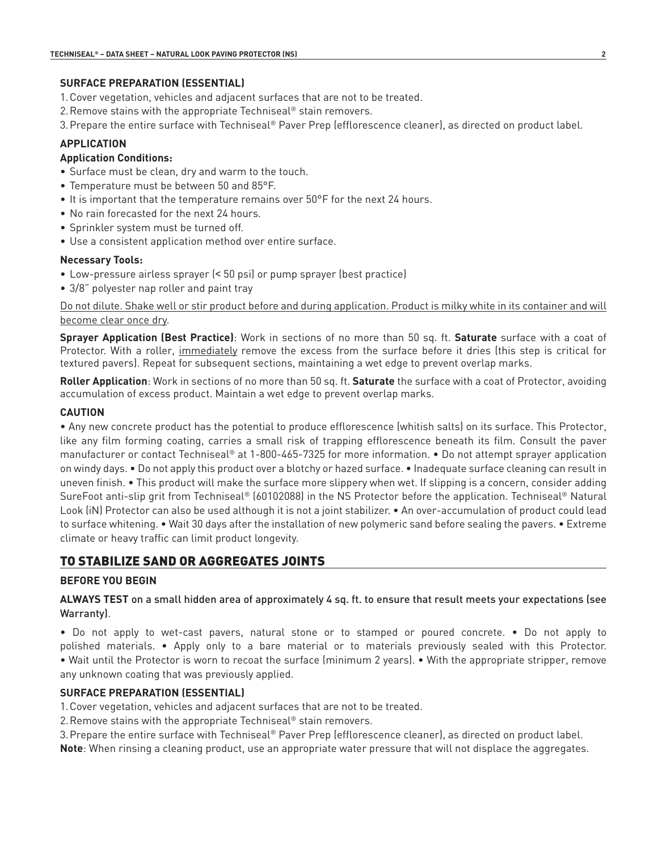## **SURFACE PREPARATION (ESSENTIAL)**

- 1.Cover vegetation, vehicles and adjacent surfaces that are not to be treated.
- 2.Remove stains with the appropriate Techniseal® stain removers.
- 3.Prepare the entire surface with Techniseal® Paver Prep (efflorescence cleaner), as directed on product label.

# **APPLICATION**

## **Application Conditions:**

- Surface must be clean, dry and warm to the touch.
- Temperature must be between 50 and 85°F.
- It is important that the temperature remains over 50°F for the next 24 hours.
- No rain forecasted for the next 24 hours.
- Sprinkler system must be turned off.
- Use a consistent application method over entire surface.

## **Necessary Tools:**

- Low-pressure airless sprayer (< 50 psi) or pump sprayer (best practice)
- 3/8" polyester nap roller and paint tray

Do not dilute. Shake well or stir product before and during application. Product is milky white in its container and will become clear once dry.

**Sprayer Application (Best Practice)**: Work in sections of no more than 50 sq. ft. **Saturate** surface with a coat of Protector. With a roller, immediately remove the excess from the surface before it dries (this step is critical for textured pavers). Repeat for subsequent sections, maintaining a wet edge to prevent overlap marks.

**Roller Application**: Work in sections of no more than 50 sq. ft. **Saturate** the surface with a coat of Protector, avoiding accumulation of excess product. Maintain a wet edge to prevent overlap marks.

# **CAUTION**

• Any new concrete product has the potential to produce efflorescence (whitish salts) on its surface. This Protector, like any film forming coating, carries a small risk of trapping efflorescence beneath its film. Consult the paver manufacturer or contact Techniseal® at 1-800-465-7325 for more information. • Do not attempt sprayer application on windy days. • Do not apply this product over a blotchy or hazed surface. • Inadequate surface cleaning can result in uneven finish. • This product will make the surface more slippery when wet. If slipping is a concern, consider adding SureFoot anti-slip grit from Techniseal® (60102088) in the NS Protector before the application. Techniseal® Natural Look (iN) Protector can also be used although it is not a joint stabilizer. • An over-accumulation of product could lead to surface whitening. • Wait 30 days after the installation of new polymeric sand before sealing the pavers. • Extreme climate or heavy traffic can limit product longevity.

# TO STABILIZE SAND OR AGGREGATES JOINTS

# **BEFORE YOU BEGIN**

**ALWAYS TEST** on a small hidden area of approximately 4 sq. ft. to ensure that result meets your expectations (see Warranty).

• Do not apply to wet-cast pavers, natural stone or to stamped or poured concrete. • Do not apply to polished materials. • Apply only to a bare material or to materials previously sealed with this Protector. • Wait until the Protector is worn to recoat the surface (minimum 2 years). • With the appropriate stripper, remove any unknown coating that was previously applied.

# **SURFACE PREPARATION (ESSENTIAL)**

1.Cover vegetation, vehicles and adjacent surfaces that are not to be treated.

2.Remove stains with the appropriate Techniseal® stain removers.

3.Prepare the entire surface with Techniseal® Paver Prep (efflorescence cleaner), as directed on product label.

**Note**: When rinsing a cleaning product, use an appropriate water pressure that will not displace the aggregates.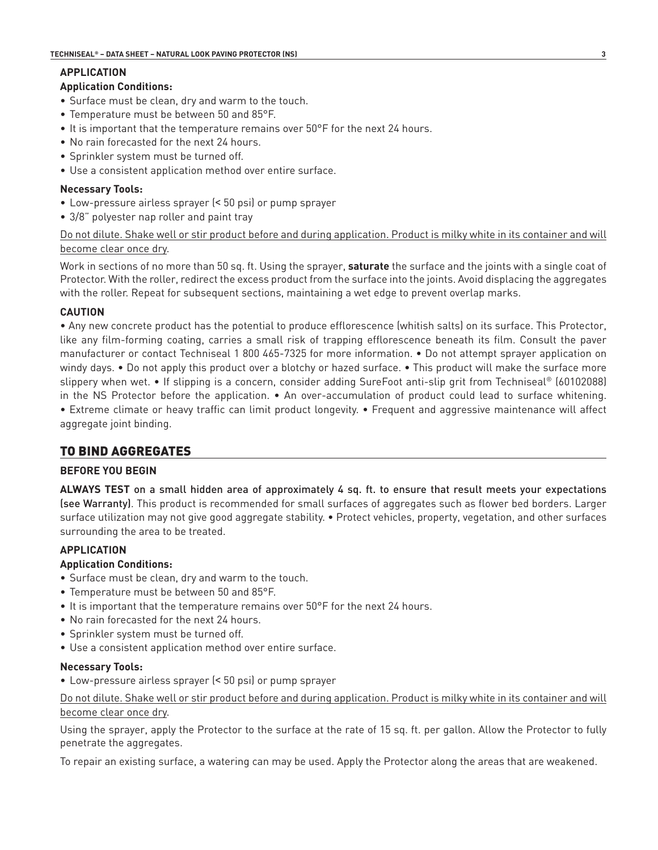# **APPLICATION**

## **Application Conditions:**

- Surface must be clean, dry and warm to the touch.
- Temperature must be between 50 and 85°F.
- It is important that the temperature remains over 50°F for the next 24 hours.
- No rain forecasted for the next 24 hours.
- Sprinkler system must be turned off.
- Use a consistent application method over entire surface.

## **Necessary Tools:**

- Low-pressure airless sprayer (< 50 psi) or pump sprayer
- 3/8" polyester nap roller and paint tray

## Do not dilute. Shake well or stir product before and during application. Product is milky white in its container and will become clear once dry.

Work in sections of no more than 50 sq. ft. Using the sprayer, **saturate** the surface and the joints with a single coat of Protector. With the roller, redirect the excess product from the surface into the joints. Avoid displacing the aggregates with the roller. Repeat for subsequent sections, maintaining a wet edge to prevent overlap marks.

## **CAUTION**

• Any new concrete product has the potential to produce efflorescence (whitish salts) on its surface. This Protector, like any film-forming coating, carries a small risk of trapping efflorescence beneath its film. Consult the paver manufacturer or contact Techniseal 1 800 465-7325 for more information. • Do not attempt sprayer application on windy days. • Do not apply this product over a blotchy or hazed surface. • This product will make the surface more slippery when wet. • If slipping is a concern, consider adding SureFoot anti-slip grit from Techniseal® (60102088) in the NS Protector before the application. • An over-accumulation of product could lead to surface whitening. • Extreme climate or heavy traffic can limit product longevity. • Frequent and aggressive maintenance will affect aggregate joint binding.

# TO BIND AGGREGATES

## **BEFORE YOU BEGIN**

**ALWAYS TEST** on a small hidden area of approximately 4 sq. ft. to ensure that result meets your expectations (see Warranty). This product is recommended for small surfaces of aggregates such as flower bed borders. Larger surface utilization may not give good aggregate stability. • Protect vehicles, property, vegetation, and other surfaces surrounding the area to be treated.

# **APPLICATION**

## **Application Conditions:**

- Surface must be clean, dry and warm to the touch.
- Temperature must be between 50 and 85°F.
- It is important that the temperature remains over 50°F for the next 24 hours.
- No rain forecasted for the next 24 hours.
- Sprinkler system must be turned off.
- Use a consistent application method over entire surface.

## **Necessary Tools:**

• Low-pressure airless sprayer (< 50 psi) or pump sprayer

Do not dilute. Shake well or stir product before and during application. Product is milky white in its container and will become clear once dry.

Using the sprayer, apply the Protector to the surface at the rate of 15 sq. ft. per gallon. Allow the Protector to fully penetrate the aggregates.

To repair an existing surface, a watering can may be used. Apply the Protector along the areas that are weakened.